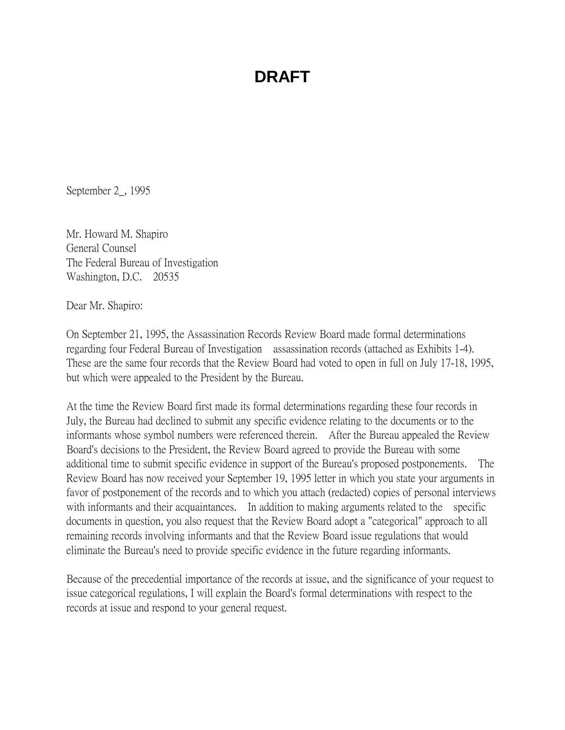September 2\_, 1995

Mr. Howard M. Shapiro General Counsel The Federal Bureau of Investigation Washington, D.C. 20535

Dear Mr. Shapiro:

On September 21, 1995, the Assassination Records Review Board made formal determinations regarding four Federal Bureau of Investigation assassination records (attached as Exhibits 1-4). These are the same four records that the Review Board had voted to open in full on July 17-18, 1995, but which were appealed to the President by the Bureau.

At the time the Review Board first made its formal determinations regarding these four records in July, the Bureau had declined to submit any specific evidence relating to the documents or to the informants whose symbol numbers were referenced therein. After the Bureau appealed the Review Board's decisions to the President, the Review Board agreed to provide the Bureau with some additional time to submit specific evidence in support of the Bureau's proposed postponements. The Review Board has now received your September 19, 1995 letter in which you state your arguments in favor of postponement of the records and to which you attach (redacted) copies of personal interviews with informants and their acquaintances. In addition to making arguments related to the specific documents in question, you also request that the Review Board adopt a "categorical" approach to all remaining records involving informants and that the Review Board issue regulations that would eliminate the Bureau's need to provide specific evidence in the future regarding informants.

Because of the precedential importance of the records at issue, and the significance of your request to issue categorical regulations, I will explain the Board's formal determinations with respect to the records at issue and respond to your general request.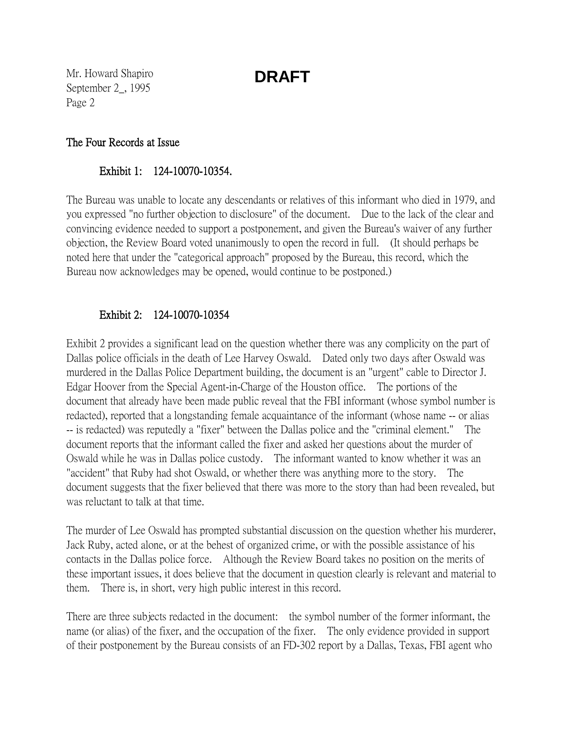Mr. Howard Shapiro September 2\_, 1995 Page 2

#### The Four Records at Issue

### Exhibit 1: 124-10070-10354.

The Bureau was unable to locate any descendants or relatives of this informant who died in 1979, and you expressed "no further objection to disclosure" of the document. Due to the lack of the clear and convincing evidence needed to support a postponement, and given the Bureau's waiver of any further objection, the Review Board voted unanimously to open the record in full. (It should perhaps be noted here that under the "categorical approach" proposed by the Bureau, this record, which the Bureau now acknowledges may be opened, would continue to be postponed.)

### Exhibit 2: 124-10070-10354

Exhibit 2 provides a significant lead on the question whether there was any complicity on the part of Dallas police officials in the death of Lee Harvey Oswald. Dated only two days after Oswald was murdered in the Dallas Police Department building, the document is an "urgent" cable to Director J. Edgar Hoover from the Special Agent-in-Charge of the Houston office. The portions of the document that already have been made public reveal that the FBI informant (whose symbol number is redacted), reported that a longstanding female acquaintance of the informant (whose name -- or alias -- is redacted) was reputedly a "fixer" between the Dallas police and the "criminal element." The document reports that the informant called the fixer and asked her questions about the murder of Oswald while he was in Dallas police custody. The informant wanted to know whether it was an "accident" that Ruby had shot Oswald, or whether there was anything more to the story. The document suggests that the fixer believed that there was more to the story than had been revealed, but was reluctant to talk at that time.

The murder of Lee Oswald has prompted substantial discussion on the question whether his murderer, Jack Ruby, acted alone, or at the behest of organized crime, or with the possible assistance of his contacts in the Dallas police force. Although the Review Board takes no position on the merits of these important issues, it does believe that the document in question clearly is relevant and material to them. There is, in short, very high public interest in this record.

There are three subjects redacted in the document: the symbol number of the former informant, the name (or alias) of the fixer, and the occupation of the fixer. The only evidence provided in support of their postponement by the Bureau consists of an FD-302 report by a Dallas, Texas, FBI agent who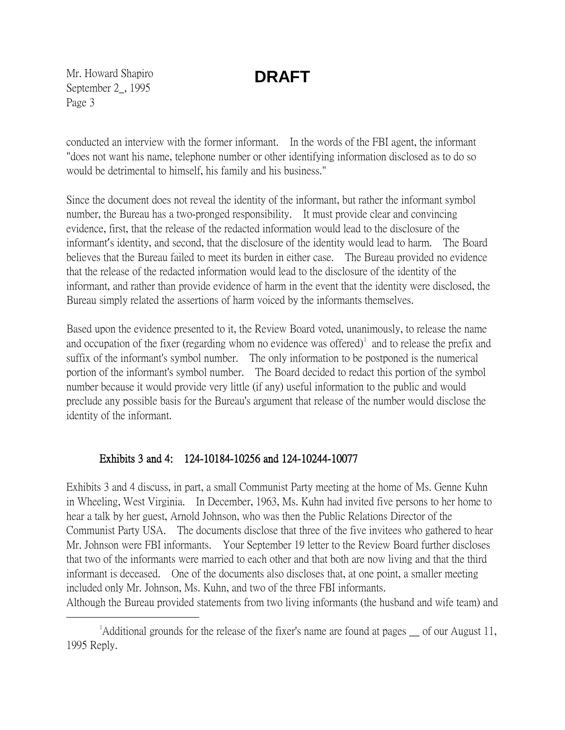Mr. Howard Shapiro September 2\_, 1995 Page 3

conducted an interview with the former informant. In the words of the FBI agent, the informant "does not want his name, telephone number or other identifying information disclosed as to do so would be detrimental to himself, his family and his business."

Since the document does not reveal the identity of the informant, but rather the informant symbol number, the Bureau has a two-pronged responsibility. It must provide clear and convincing evidence, first, that the release of the redacted information would lead to the disclosure of the informant's identity, and second, that the disclosure of the identity would lead to harm. The Board believes that the Bureau failed to meet its burden in either case. The Bureau provided no evidence that the release of the redacted information would lead to the disclosure of the identity of the informant, and rather than provide evidence of harm in the event that the identity were disclosed, the Bureau simply related the assertions of harm voiced by the informants themselves.

Based upon the evidence presented to it, the Review Board voted, unanimously, to release the name and occupation of the fixer (regarding whom no evidence was offered) $\mu$  and to release the prefix and suffix of the informant's symbol number. The only information to be postponed is the numerical portion of the informant's symbol number. The Board decided to redact this portion of the symbol number because it would provide very little (if any) useful information to the public and would preclude any possible basis for the Bureau's argument that release of the number would disclose the identity of the informant.

### Exhibits 3 and 4: 124-10184-10256 and 124-10244-10077

Exhibits 3 and 4 discuss, in part, a small Communist Party meeting at the home of Ms. Genne Kuhn in Wheeling, West Virginia. In December, 1963, Ms. Kuhn had invited five persons to her home to hear a talk by her guest, Arnold Johnson, who was then the Public Relations Director of the Communist Party USA. The documents disclose that three of the five invitees who gathered to hear Mr. Johnson were FBI informants. Your September 19 letter to the Review Board further discloses that two of the informants were married to each other and that both are now living and that the third informant is deceased. One of the documents also discloses that, at one point, a smaller meeting included only Mr. Johnson, Ms. Kuhn, and two of the three FBI informants. Although the Bureau provided statements from two living informants (the husband and wife team) and

<span id="page-2-0"></span> $\overline{\phantom{a}}$  $^1$ Additional grounds for the release of the fixer's name are found at pages  $\equiv$  of our August 11, 1995 Reply.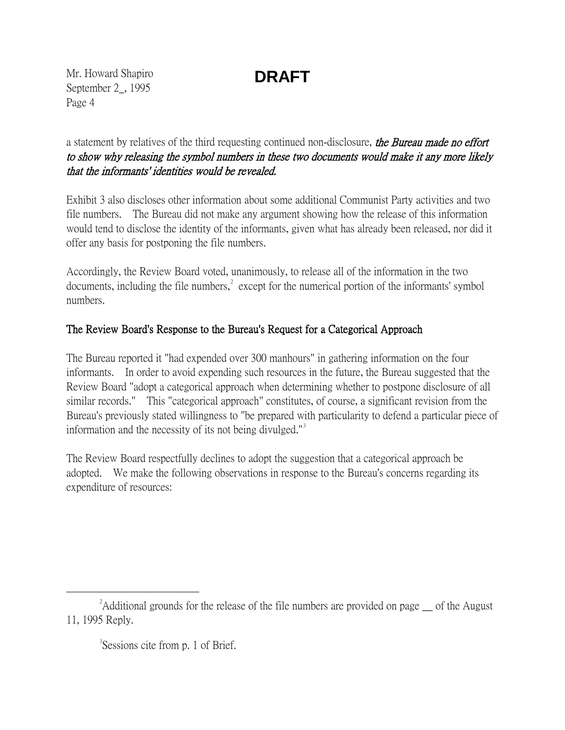Mr. Howard Shapiro September 2\_, 1995 Page 4

a statement by relatives of the third requesting continued non-disclosure, the Bureau made no effort to show why releasing the symbol numbers in these two documents would make it any more likely that the informants' identities would be revealed.

Exhibit 3 also discloses other information about some additional Communist Party activities and two file numbers. The Bureau did not make any argument showing how the release of this information would tend to disclose the identity of the informants, given what has already been released, nor did it offer any basis for postponing the file numbers.

Accordingly, the Review Board voted, unanimously, to release all of the information in the two documents, including the file numbers, $\lambda^2$  $\lambda^2$  except for the numerical portion of the informants' symbol numbers.

### The Review Board's Response to the Bureau's Request for a Categorical Approach

The Bureau reported it "had expended over 300 manhours" in gathering information on the four informants. In order to avoid expending such resources in the future, the Bureau suggested that the Review Board "adopt a categorical approach when determining whether to postpone disclosure of all similar records." This "categorical approach" constitutes, of course, a significant revision from the Bureau's previously stated willingness to "be prepared with particularity to defend a particular piece of information and the necessity of its not being divulged."<sup>[3](#page-3-1)</sup>

The Review Board respectfully declines to adopt the suggestion that a categorical approach be adopted. We make the following observations in response to the Bureau's concerns regarding its expenditure of resources:

<span id="page-3-1"></span><span id="page-3-0"></span> $\overline{\phantom{a}}$  2  $A$ dditional grounds for the release of the file numbers are provided on page of the August 11, 1995 Reply.

<sup>&</sup>lt;sup>3</sup>Sessions cite from p. 1 of Brief.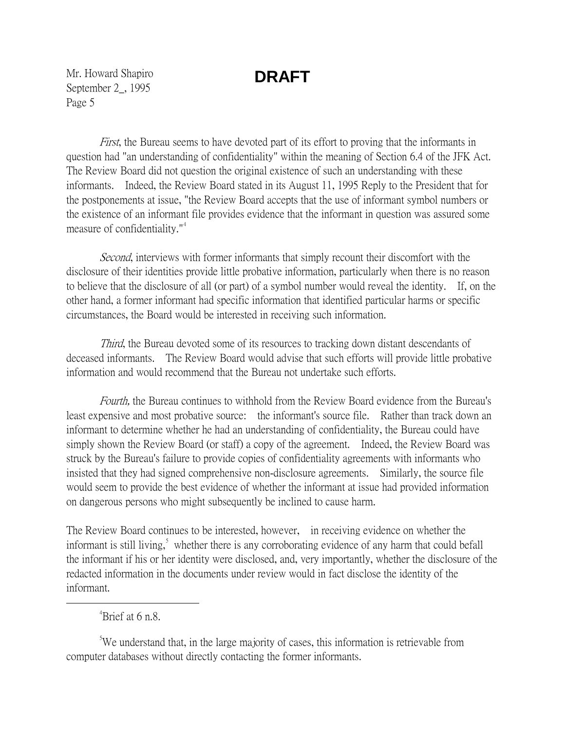Mr. Howard Shapiro September 2\_, 1995 Page 5

First, the Bureau seems to have devoted part of its effort to proving that the informants in question had "an understanding of confidentiality" within the meaning of Section 6.4 of the JFK Act. The Review Board did not question the original existence of such an understanding with these informants. Indeed, the Review Board stated in its August 11, 1995 Reply to the President that for the postponements at issue, "the Review Board accepts that the use of informant symbol numbers or the existence of an informant file provides evidence that the informant in question was assured some measure of confidentiality."<sup>[4](#page-4-0)</sup>

Second, interviews with former informants that simply recount their discomfort with the disclosure of their identities provide little probative information, particularly when there is no reason to believe that the disclosure of all (or part) of a symbol number would reveal the identity. If, on the other hand, a former informant had specific information that identified particular harms or specific circumstances, the Board would be interested in receiving such information.

Third, the Bureau devoted some of its resources to tracking down distant descendants of deceased informants. The Review Board would advise that such efforts will provide little probative information and would recommend that the Bureau not undertake such efforts.

Fourth, the Bureau continues to withhold from the Review Board evidence from the Bureau's least expensive and most probative source: the informant's source file. Rather than track down an informant to determine whether he had an understanding of confidentiality, the Bureau could have simply shown the Review Board (or staff) a copy of the agreement. Indeed, the Review Board was struck by the Bureau's failure to provide copies of confidentiality agreements with informants who insisted that they had signed comprehensive non-disclosure agreements. Similarly, the source file would seem to provide the best evidence of whether the informant at issue had provided information on dangerous persons who might subsequently be inclined to cause harm.

The Review Board continues to be interested, however, in receiving evidence on whether the informant is still living,<sup>[5](#page-4-1)</sup> whether there is any corroborating evidence of any harm that could befall the informant if his or her identity were disclosed, and, very importantly, whether the disclosure of the redacted information in the documents under review would in fact disclose the identity of the informant.

#### <span id="page-4-0"></span> $\frac{1}{4}$  $^{4}$ Brief at 6 n.8.

<span id="page-4-1"></span><sup>&</sup>lt;sup>5</sup>We understand that, in the large majority of cases, this information is retrievable from computer databases without directly contacting the former informants.